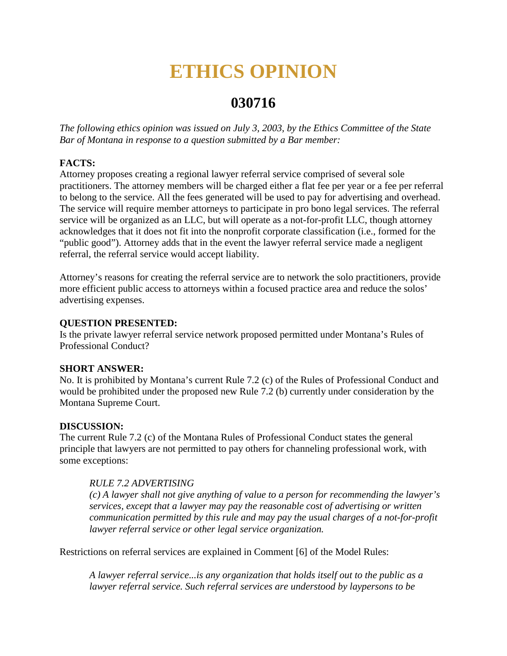# **ETHICS OPINION**

# **030716**

*The following ethics opinion was issued on July 3, 2003, by the Ethics Committee of the State Bar of Montana in response to a question submitted by a Bar member:* 

## **FACTS:**

Attorney proposes creating a regional lawyer referral service comprised of several sole practitioners. The attorney members will be charged either a flat fee per year or a fee per referral to belong to the service. All the fees generated will be used to pay for advertising and overhead. The service will require member attorneys to participate in pro bono legal services. The referral service will be organized as an LLC, but will operate as a not-for-profit LLC, though attorney acknowledges that it does not fit into the nonprofit corporate classification (i.e., formed for the "public good"). Attorney adds that in the event the lawyer referral service made a negligent referral, the referral service would accept liability.

Attorney's reasons for creating the referral service are to network the solo practitioners, provide more efficient public access to attorneys within a focused practice area and reduce the solos' advertising expenses.

### **QUESTION PRESENTED:**

Is the private lawyer referral service network proposed permitted under Montana's Rules of Professional Conduct?

#### **SHORT ANSWER:**

No. It is prohibited by Montana's current Rule 7.2 (c) of the Rules of Professional Conduct and would be prohibited under the proposed new Rule 7.2 (b) currently under consideration by the Montana Supreme Court.

#### **DISCUSSION:**

The current Rule 7.2 (c) of the Montana Rules of Professional Conduct states the general principle that lawyers are not permitted to pay others for channeling professional work, with some exceptions:

#### *RULE 7.2 ADVERTISING*

*(c) A lawyer shall not give anything of value to a person for recommending the lawyer's services, except that a lawyer may pay the reasonable cost of advertising or written communication permitted by this rule and may pay the usual charges of a not-for-profit lawyer referral service or other legal service organization.*

Restrictions on referral services are explained in Comment [6] of the Model Rules:

*A lawyer referral service...is any organization that holds itself out to the public as a lawyer referral service. Such referral services are understood by laypersons to be*